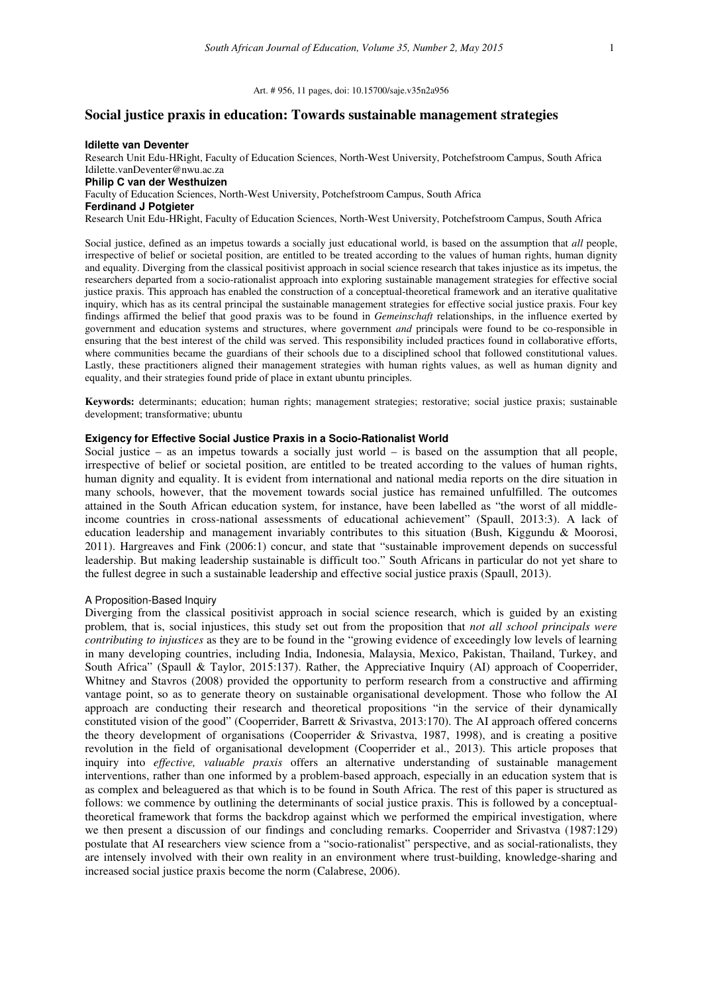# **Social justice praxis in education: Towards sustainable management strategies**

#### **Idilette van Deventer**

Research Unit Edu-HRight, Faculty of Education Sciences, North-West University, Potchefstroom Campus, South Africa Idilette.vanDeventer@nwu.ac.za

**Philip C van der Westhuizen**

Faculty of Education Sciences, North-West University, Potchefstroom Campus, South Africa

### **Ferdinand J Potgieter**

Research Unit Edu-HRight, Faculty of Education Sciences, North-West University, Potchefstroom Campus, South Africa

Social justice, defined as an impetus towards a socially just educational world, is based on the assumption that *all* people, irrespective of belief or societal position, are entitled to be treated according to the values of human rights, human dignity and equality. Diverging from the classical positivist approach in social science research that takes injustice as its impetus, the researchers departed from a socio-rationalist approach into exploring sustainable management strategies for effective social justice praxis. This approach has enabled the construction of a conceptual-theoretical framework and an iterative qualitative inquiry, which has as its central principal the sustainable management strategies for effective social justice praxis. Four key findings affirmed the belief that good praxis was to be found in *Gemeinschaft* relationships, in the influence exerted by government and education systems and structures, where government *and* principals were found to be co-responsible in ensuring that the best interest of the child was served. This responsibility included practices found in collaborative efforts, where communities became the guardians of their schools due to a disciplined school that followed constitutional values. Lastly, these practitioners aligned their management strategies with human rights values, as well as human dignity and equality, and their strategies found pride of place in extant ubuntu principles.

**Keywords:** determinants; education; human rights; management strategies; restorative; social justice praxis; sustainable development; transformative; ubuntu

## **Exigency for Effective Social Justice Praxis in a Socio-Rationalist World**

Social justice – as an impetus towards a socially just world – is based on the assumption that all people, irrespective of belief or societal position, are entitled to be treated according to the values of human rights, human dignity and equality. It is evident from international and national media reports on the dire situation in many schools, however, that the movement towards social justice has remained unfulfilled. The outcomes attained in the South African education system, for instance, have been labelled as "the worst of all middleincome countries in cross-national assessments of educational achievement" (Spaull, 2013:3). A lack of education leadership and management invariably contributes to this situation (Bush, Kiggundu & Moorosi, 2011). Hargreaves and Fink (2006:1) concur, and state that "sustainable improvement depends on successful leadership. But making leadership sustainable is difficult too." South Africans in particular do not yet share to the fullest degree in such a sustainable leadership and effective social justice praxis (Spaull, 2013).

# A Proposition-Based Inquiry

Diverging from the classical positivist approach in social science research, which is guided by an existing problem, that is, social injustices, this study set out from the proposition that *not all school principals were contributing to injustices* as they are to be found in the "growing evidence of exceedingly low levels of learning in many developing countries, including India, Indonesia, Malaysia, Mexico, Pakistan, Thailand, Turkey, and South Africa" (Spaull & Taylor, 2015:137). Rather, the Appreciative Inquiry (AI) approach of Cooperrider, Whitney and Stavros (2008) provided the opportunity to perform research from a constructive and affirming vantage point, so as to generate theory on sustainable organisational development. Those who follow the AI approach are conducting their research and theoretical propositions "in the service of their dynamically constituted vision of the good" (Cooperrider, Barrett & Srivastva, 2013:170). The AI approach offered concerns the theory development of organisations (Cooperrider & Srivastva, 1987, 1998), and is creating a positive revolution in the field of organisational development (Cooperrider et al., 2013). This article proposes that inquiry into *effective, valuable praxis* offers an alternative understanding of sustainable management interventions, rather than one informed by a problem-based approach, especially in an education system that is as complex and beleaguered as that which is to be found in South Africa. The rest of this paper is structured as follows: we commence by outlining the determinants of social justice praxis. This is followed by a conceptualtheoretical framework that forms the backdrop against which we performed the empirical investigation, where we then present a discussion of our findings and concluding remarks. Cooperrider and Srivastva (1987:129) postulate that AI researchers view science from a "socio-rationalist" perspective, and as social-rationalists, they are intensely involved with their own reality in an environment where trust-building, knowledge-sharing and increased social justice praxis become the norm (Calabrese, 2006).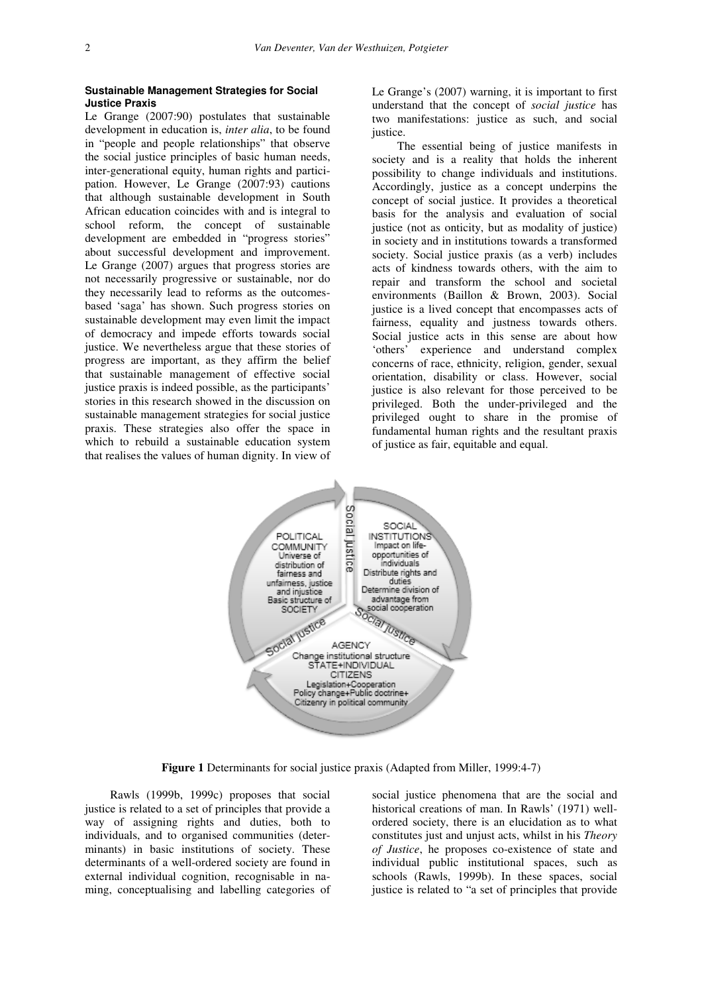### **Sustainable Management Strategies for Social Justice Praxis**

Le Grange (2007:90) postulates that sustainable development in education is, *inter alia*, to be found in "people and people relationships" that observe the social justice principles of basic human needs, inter-generational equity, human rights and participation. However, Le Grange (2007:93) cautions that although sustainable development in South African education coincides with and is integral to school reform, the concept of sustainable development are embedded in "progress stories" about successful development and improvement. Le Grange (2007) argues that progress stories are not necessarily progressive or sustainable, nor do they necessarily lead to reforms as the outcomesbased 'saga' has shown. Such progress stories on sustainable development may even limit the impact of democracy and impede efforts towards social justice. We nevertheless argue that these stories of progress are important, as they affirm the belief that sustainable management of effective social justice praxis is indeed possible, as the participants' stories in this research showed in the discussion on sustainable management strategies for social justice praxis. These strategies also offer the space in which to rebuild a sustainable education system that realises the values of human dignity. In view of

Le Grange's (2007) warning, it is important to first understand that the concept of *social justice* has two manifestations: justice as such, and social justice.

The essential being of justice manifests in society and is a reality that holds the inherent possibility to change individuals and institutions. Accordingly, justice as a concept underpins the concept of social justice. It provides a theoretical basis for the analysis and evaluation of social justice (not as onticity, but as modality of justice) in society and in institutions towards a transformed society. Social justice praxis (as a verb) includes acts of kindness towards others, with the aim to repair and transform the school and societal environments (Baillon & Brown, 2003). Social justice is a lived concept that encompasses acts of fairness, equality and justness towards others. Social justice acts in this sense are about how 'others' experience and understand complex concerns of race, ethnicity, religion, gender, sexual orientation, disability or class. However, social justice is also relevant for those perceived to be privileged. Both the under-privileged and the privileged ought to share in the promise of fundamental human rights and the resultant praxis of justice as fair, equitable and equal.



Figure 1 Determinants for social justice praxis (Adapted from Miller, 1999:4-7)

Rawls (1999b, 1999c) proposes that social justice is related to a set of principles that provide a way of assigning rights and duties, both to individuals, and to organised communities (determinants) in basic institutions of society. These determinants of a well-ordered society are found in external individual cognition, recognisable in naming, conceptualising and labelling categories of

social justice phenomena that are the social and historical creations of man. In Rawls' (1971) wellordered society, there is an elucidation as to what constitutes just and unjust acts, whilst in his *Theory of Justice*, he proposes co-existence of state and individual public institutional spaces, such as schools (Rawls, 1999b). In these spaces, social justice is related to "a set of principles that provide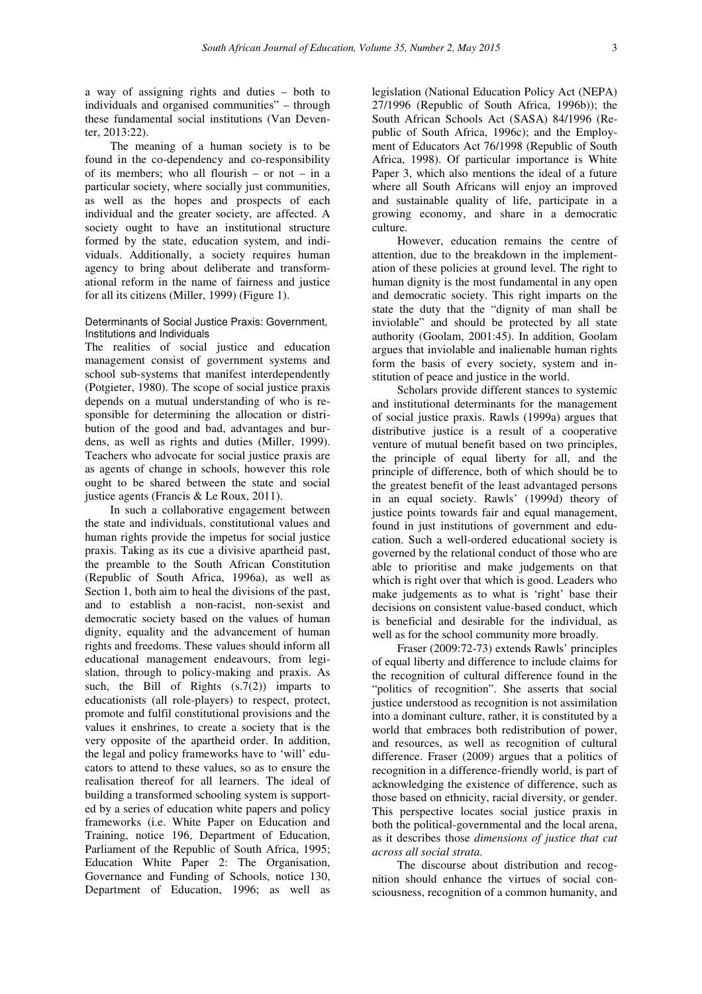a way of assigning rights and duties – both to individuals and organised communities" – through these fundamental social institutions (Van Deventer, 2013:22).

The meaning of a human society is to be found in the co-dependency and co-responsibility of its members; who all flourish – or not – in a particular society, where socially just communities, as well as the hopes and prospects of each individual and the greater society, are affected. A society ought to have an institutional structure formed by the state, education system, and individuals. Additionally, a society requires human agency to bring about deliberate and transformational reform in the name of fairness and justice for all its citizens (Miller, 1999) (Figure 1).

# Determinants of Social Justice Praxis: Government, Institutions and Individuals

The realities of social justice and education management consist of government systems and school sub-systems that manifest interdependently (Potgieter, 1980). The scope of social justice praxis depends on a mutual understanding of who is responsible for determining the allocation or distribution of the good and bad, advantages and burdens, as well as rights and duties (Miller, 1999). Teachers who advocate for social justice praxis are as agents of change in schools, however this role ought to be shared between the state and social justice agents (Francis & Le Roux, 2011).

In such a collaborative engagement between the state and individuals, constitutional values and human rights provide the impetus for social justice praxis. Taking as its cue a divisive apartheid past, the preamble to the South African Constitution (Republic of South Africa, 1996a), as well as Section 1, both aim to heal the divisions of the past, and to establish a non-racist, non-sexist and democratic society based on the values of human dignity, equality and the advancement of human rights and freedoms. These values should inform all educational management endeavours, from legislation, through to policy-making and praxis. As such, the Bill of Rights  $(s.7(2))$  imparts to educationists (all role-players) to respect, protect, promote and fulfil constitutional provisions and the values it enshrines, to create a society that is the very opposite of the apartheid order. In addition, the legal and policy frameworks have to 'will' educators to attend to these values, so as to ensure the realisation thereof for all learners. The ideal of building a transformed schooling system is supported by a series of education white papers and policy frameworks (i.e. White Paper on Education and Training, notice 196, Department of Education, Parliament of the Republic of South Africa, 1995; Education White Paper 2: The Organisation, Governance and Funding of Schools, notice 130, Department of Education, 1996; as well as

legislation (National Education Policy Act (NEPA) 27/1996 (Republic of South Africa, 1996b)); the South African Schools Act (SASA) 84/1996 (Republic of South Africa, 1996c); and the Employment of Educators Act 76/1998 (Republic of South Africa, 1998). Of particular importance is White Paper 3, which also mentions the ideal of a future where all South Africans will enjoy an improved and sustainable quality of life, participate in a growing economy, and share in a democratic culture.

However, education remains the centre of attention, due to the breakdown in the implementation of these policies at ground level. The right to human dignity is the most fundamental in any open and democratic society. This right imparts on the state the duty that the "dignity of man shall be inviolable" and should be protected by all state authority (Goolam, 2001:45). In addition, Goolam argues that inviolable and inalienable human rights form the basis of every society, system and institution of peace and justice in the world.

Scholars provide different stances to systemic and institutional determinants for the management of social justice praxis. Rawls (1999a) argues that distributive justice is a result of a cooperative venture of mutual benefit based on two principles, the principle of equal liberty for all, and the principle of difference, both of which should be to the greatest benefit of the least advantaged persons in an equal society. Rawls' (1999d) theory of justice points towards fair and equal management, found in just institutions of government and education. Such a well-ordered educational society is governed by the relational conduct of those who are able to prioritise and make judgements on that which is right over that which is good. Leaders who make judgements as to what is 'right' base their decisions on consistent value-based conduct, which is beneficial and desirable for the individual, as well as for the school community more broadly.

Fraser (2009:72-73) extends Rawls' principles of equal liberty and difference to include claims for the recognition of cultural difference found in the "politics of recognition". She asserts that social justice understood as recognition is not assimilation into a dominant culture, rather, it is constituted by a world that embraces both redistribution of power, and resources, as well as recognition of cultural difference. Fraser (2009) argues that a politics of recognition in a difference-friendly world, is part of acknowledging the existence of difference, such as those based on ethnicity, racial diversity, or gender. This perspective locates social justice praxis in both the political-governmental and the local arena, as it describes those *dimensions of justice that cut across all social strata*.

The discourse about distribution and recognition should enhance the virtues of social consciousness, recognition of a common humanity, and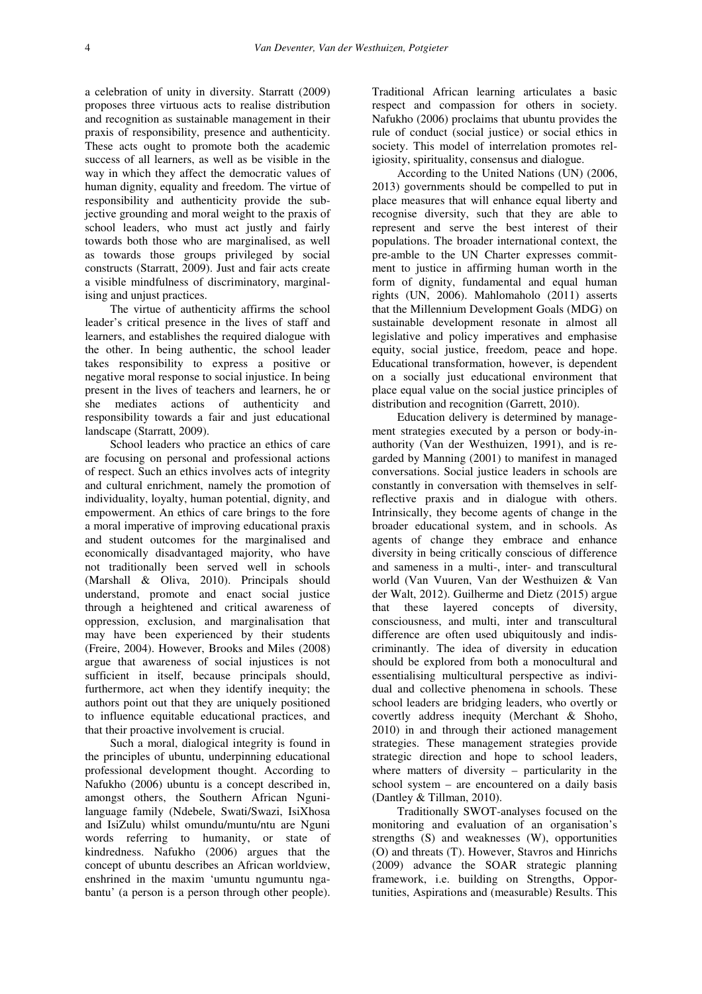a celebration of unity in diversity. Starratt (2009) proposes three virtuous acts to realise distribution and recognition as sustainable management in their praxis of responsibility, presence and authenticity. These acts ought to promote both the academic success of all learners, as well as be visible in the way in which they affect the democratic values of human dignity, equality and freedom. The virtue of responsibility and authenticity provide the subjective grounding and moral weight to the praxis of school leaders, who must act justly and fairly towards both those who are marginalised, as well as towards those groups privileged by social constructs (Starratt, 2009). Just and fair acts create a visible mindfulness of discriminatory, marginalising and unjust practices.

The virtue of authenticity affirms the school leader's critical presence in the lives of staff and learners, and establishes the required dialogue with the other. In being authentic, the school leader takes responsibility to express a positive or negative moral response to social injustice. In being present in the lives of teachers and learners, he or she mediates actions of authenticity and responsibility towards a fair and just educational landscape (Starratt, 2009).

School leaders who practice an ethics of care are focusing on personal and professional actions of respect. Such an ethics involves acts of integrity and cultural enrichment, namely the promotion of individuality, loyalty, human potential, dignity, and empowerment. An ethics of care brings to the fore a moral imperative of improving educational praxis and student outcomes for the marginalised and economically disadvantaged majority, who have not traditionally been served well in schools (Marshall & Oliva, 2010). Principals should understand, promote and enact social justice through a heightened and critical awareness of oppression, exclusion, and marginalisation that may have been experienced by their students (Freire, 2004). However, Brooks and Miles (2008) argue that awareness of social injustices is not sufficient in itself, because principals should, furthermore, act when they identify inequity; the authors point out that they are uniquely positioned to influence equitable educational practices, and that their proactive involvement is crucial.

Such a moral, dialogical integrity is found in the principles of ubuntu, underpinning educational professional development thought. According to Nafukho (2006) ubuntu is a concept described in, amongst others, the Southern African Ngunilanguage family (Ndebele, Swati/Swazi, IsiXhosa and IsiZulu) whilst omundu/muntu/ntu are Nguni words referring to humanity, or state of kindredness. Nafukho (2006) argues that the concept of ubuntu describes an African worldview, enshrined in the maxim 'umuntu ngumuntu ngabantu' (a person is a person through other people).

Traditional African learning articulates a basic respect and compassion for others in society. Nafukho (2006) proclaims that ubuntu provides the rule of conduct (social justice) or social ethics in society. This model of interrelation promotes religiosity, spirituality, consensus and dialogue.

According to the United Nations (UN) (2006, 2013) governments should be compelled to put in place measures that will enhance equal liberty and recognise diversity, such that they are able to represent and serve the best interest of their populations. The broader international context, the pre-amble to the UN Charter expresses commitment to justice in affirming human worth in the form of dignity, fundamental and equal human rights (UN, 2006). Mahlomaholo (2011) asserts that the Millennium Development Goals (MDG) on sustainable development resonate in almost all legislative and policy imperatives and emphasise equity, social justice, freedom, peace and hope. Educational transformation, however, is dependent on a socially just educational environment that place equal value on the social justice principles of distribution and recognition (Garrett, 2010).

Education delivery is determined by management strategies executed by a person or body-inauthority (Van der Westhuizen, 1991), and is regarded by Manning (2001) to manifest in managed conversations. Social justice leaders in schools are constantly in conversation with themselves in selfreflective praxis and in dialogue with others. Intrinsically, they become agents of change in the broader educational system, and in schools. As agents of change they embrace and enhance diversity in being critically conscious of difference and sameness in a multi-, inter- and transcultural world (Van Vuuren, Van der Westhuizen & Van der Walt, 2012). Guilherme and Dietz (2015) argue that these layered concepts of diversity, consciousness, and multi, inter and transcultural difference are often used ubiquitously and indiscriminantly. The idea of diversity in education should be explored from both a monocultural and essentialising multicultural perspective as individual and collective phenomena in schools. These school leaders are bridging leaders, who overtly or covertly address inequity (Merchant & Shoho, 2010) in and through their actioned management strategies. These management strategies provide strategic direction and hope to school leaders, where matters of diversity – particularity in the school system – are encountered on a daily basis (Dantley & Tillman, 2010).

Traditionally SWOT-analyses focused on the monitoring and evaluation of an organisation's strengths (S) and weaknesses (W), opportunities (O) and threats (T). However, Stavros and Hinrichs (2009) advance the SOAR strategic planning framework, i.e. building on Strengths, Opportunities, Aspirations and (measurable) Results. This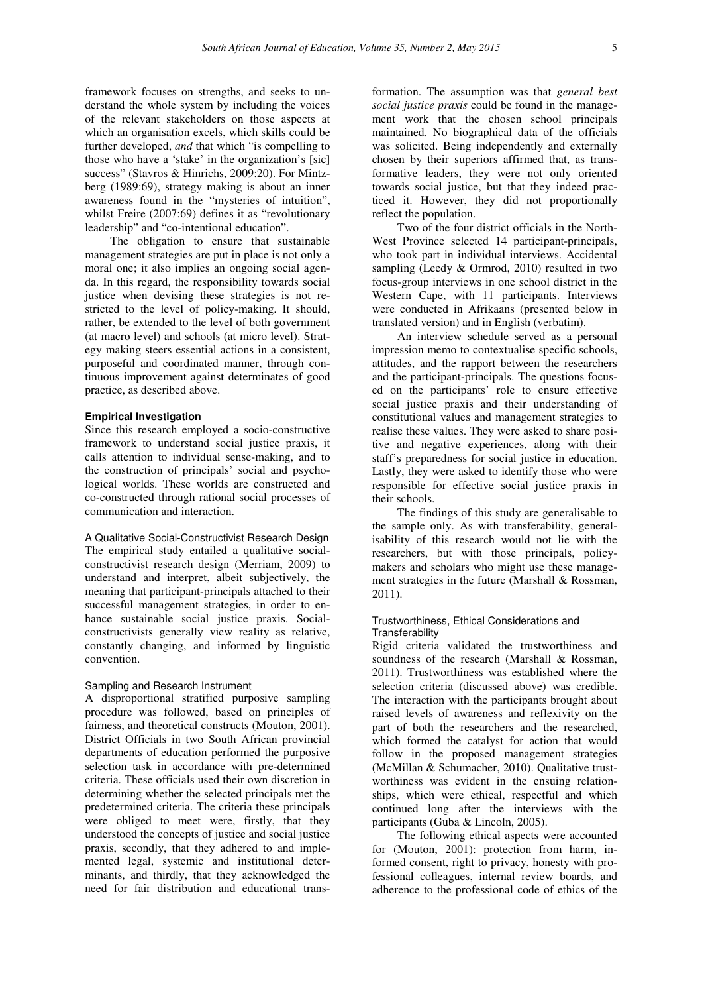framework focuses on strengths, and seeks to understand the whole system by including the voices of the relevant stakeholders on those aspects at which an organisation excels, which skills could be further developed, *and* that which "is compelling to those who have a 'stake' in the organization's [sic] success" (Stavros & Hinrichs, 2009:20). For Mintzberg (1989:69), strategy making is about an inner awareness found in the "mysteries of intuition", whilst Freire (2007:69) defines it as "revolutionary leadership" and "co-intentional education".

The obligation to ensure that sustainable management strategies are put in place is not only a moral one; it also implies an ongoing social agenda. In this regard, the responsibility towards social justice when devising these strategies is not restricted to the level of policy-making. It should, rather, be extended to the level of both government (at macro level) and schools (at micro level). Strategy making steers essential actions in a consistent, purposeful and coordinated manner, through continuous improvement against determinates of good practice, as described above.

### **Empirical Investigation**

Since this research employed a socio-constructive framework to understand social justice praxis, it calls attention to individual sense-making, and to the construction of principals' social and psychological worlds. These worlds are constructed and co-constructed through rational social processes of communication and interaction.

A Qualitative Social-Constructivist Research Design The empirical study entailed a qualitative socialconstructivist research design (Merriam, 2009) to understand and interpret, albeit subjectively, the meaning that participant-principals attached to their successful management strategies, in order to enhance sustainable social justice praxis. Socialconstructivists generally view reality as relative, constantly changing, and informed by linguistic convention.

### Sampling and Research Instrument

A disproportional stratified purposive sampling procedure was followed, based on principles of fairness, and theoretical constructs (Mouton, 2001). District Officials in two South African provincial departments of education performed the purposive selection task in accordance with pre-determined criteria. These officials used their own discretion in determining whether the selected principals met the predetermined criteria. The criteria these principals were obliged to meet were, firstly, that they understood the concepts of justice and social justice praxis, secondly, that they adhered to and implemented legal, systemic and institutional determinants, and thirdly, that they acknowledged the need for fair distribution and educational trans-

formation. The assumption was that *general best social justice praxis* could be found in the management work that the chosen school principals maintained. No biographical data of the officials was solicited. Being independently and externally chosen by their superiors affirmed that, as transformative leaders, they were not only oriented towards social justice, but that they indeed practiced it. However, they did not proportionally reflect the population.

Two of the four district officials in the North-West Province selected 14 participant-principals, who took part in individual interviews. Accidental sampling (Leedy & Ormrod, 2010) resulted in two focus-group interviews in one school district in the Western Cape, with 11 participants. Interviews were conducted in Afrikaans (presented below in translated version) and in English (verbatim).

An interview schedule served as a personal impression memo to contextualise specific schools, attitudes, and the rapport between the researchers and the participant-principals. The questions focused on the participants' role to ensure effective social justice praxis and their understanding of constitutional values and management strategies to realise these values. They were asked to share positive and negative experiences, along with their staff's preparedness for social justice in education. Lastly, they were asked to identify those who were responsible for effective social justice praxis in their schools.

The findings of this study are generalisable to the sample only. As with transferability, generalisability of this research would not lie with the researchers, but with those principals, policymakers and scholars who might use these management strategies in the future (Marshall & Rossman, 2011).

### Trustworthiness, Ethical Considerations and **Transferability**

Rigid criteria validated the trustworthiness and soundness of the research (Marshall & Rossman, 2011). Trustworthiness was established where the selection criteria (discussed above) was credible. The interaction with the participants brought about raised levels of awareness and reflexivity on the part of both the researchers and the researched, which formed the catalyst for action that would follow in the proposed management strategies (McMillan & Schumacher, 2010). Qualitative trustworthiness was evident in the ensuing relationships, which were ethical, respectful and which continued long after the interviews with the participants (Guba & Lincoln, 2005).

The following ethical aspects were accounted for (Mouton, 2001): protection from harm, informed consent, right to privacy, honesty with professional colleagues, internal review boards, and adherence to the professional code of ethics of the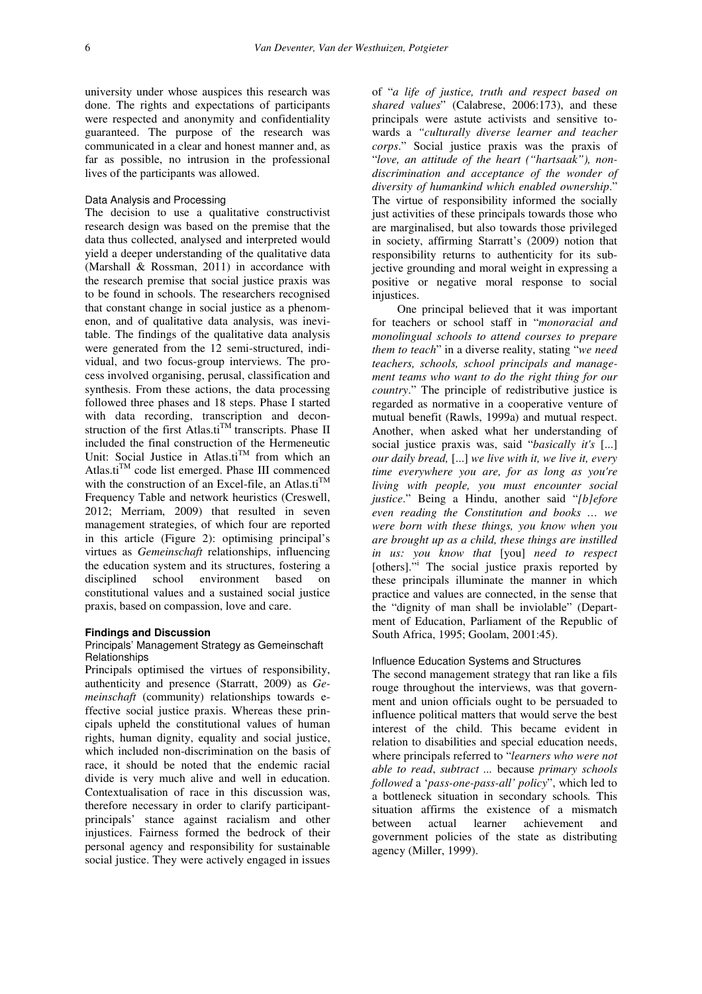university under whose auspices this research was done. The rights and expectations of participants were respected and anonymity and confidentiality guaranteed. The purpose of the research was communicated in a clear and honest manner and, as far as possible, no intrusion in the professional lives of the participants was allowed.

# Data Analysis and Processing

The decision to use a qualitative constructivist research design was based on the premise that the data thus collected, analysed and interpreted would yield a deeper understanding of the qualitative data (Marshall & Rossman, 2011) in accordance with the research premise that social justice praxis was to be found in schools. The researchers recognised that constant change in social justice as a phenomenon, and of qualitative data analysis, was inevitable. The findings of the qualitative data analysis were generated from the 12 semi-structured, individual, and two focus-group interviews. The process involved organising, perusal, classification and synthesis. From these actions, the data processing followed three phases and 18 steps. Phase I started with data recording, transcription and deconstruction of the first Atlas.ti<sup>TM</sup> transcripts. Phase II included the final construction of the Hermeneutic Unit: Social Justice in Atlas.ti<sup>TM</sup> from which an Atlas.ti<sup>TM</sup> code list emerged. Phase III commenced with the construction of an Excel-file, an Atlas.ti<sup>TM</sup> Frequency Table and network heuristics (Creswell, 2012; Merriam, 2009) that resulted in seven management strategies, of which four are reported in this article (Figure 2): optimising principal's virtues as *Gemeinschaft* relationships, influencing the education system and its structures, fostering a disciplined school environment based on constitutional values and a sustained social justice praxis, based on compassion, love and care.

#### **Findings and Discussion**

### Principals' Management Strategy as Gemeinschaft **Relationships**

Principals optimised the virtues of responsibility, authenticity and presence (Starratt, 2009) as *Gemeinschaft* (community) relationships towards effective social justice praxis. Whereas these principals upheld the constitutional values of human rights, human dignity, equality and social justice, which included non-discrimination on the basis of race, it should be noted that the endemic racial divide is very much alive and well in education. Contextualisation of race in this discussion was, therefore necessary in order to clarify participantprincipals' stance against racialism and other injustices. Fairness formed the bedrock of their personal agency and responsibility for sustainable social justice. They were actively engaged in issues

of "*a life of justice, truth and respect based on shared values*" (Calabrese, 2006:173), and these principals were astute activists and sensitive towards a *"culturally diverse learner and teacher corps*." Social justice praxis was the praxis of "*love, an attitude of the heart ("hartsaak"), nondiscrimination and acceptance of the wonder of diversity of humankind which enabled ownership*." The virtue of responsibility informed the socially just activities of these principals towards those who are marginalised, but also towards those privileged in society, affirming Starratt's (2009) notion that responsibility returns to authenticity for its subjective grounding and moral weight in expressing a positive or negative moral response to social injustices.

One principal believed that it was important for teachers or school staff in "*monoracial and monolingual schools to attend courses to prepare them to teach*" in a diverse reality, stating "*we need teachers, schools, school principals and management teams who want to do the right thing for our country*." The principle of redistributive justice is regarded as normative in a cooperative venture of mutual benefit (Rawls, 1999a) and mutual respect. Another, when asked what her understanding of social justice praxis was, said "*basically it's* [...] *our daily bread,* [...] *we live with it, we live it, every time everywhere you are, for as long as you're living with people, you must encounter social justice*." Being a Hindu, another said "*[b]efore even reading the Constitution and books … we were born with these things, you know when you are brought up as a child, these things are instilled in us: you know that* [you] *need to respect*  [others]." The social justice praxis reported by these principals illuminate the manner in which practice and values are connected, in the sense that the "dignity of man shall be inviolable" (Department of Education, Parliament of the Republic of South Africa, 1995; Goolam, 2001:45).

#### Influence Education Systems and Structures

The second management strategy that ran like a fils rouge throughout the interviews, was that government and union officials ought to be persuaded to influence political matters that would serve the best interest of the child. This became evident in relation to disabilities and special education needs, where principals referred to "*learners who were not able to read*, *subtract ...* because *primary schools followed* a '*pass-one-pass-all' policy*", which led to a bottleneck situation in secondary schools*.* This situation affirms the existence of a mismatch between actual learner achievement and government policies of the state as distributing agency (Miller, 1999).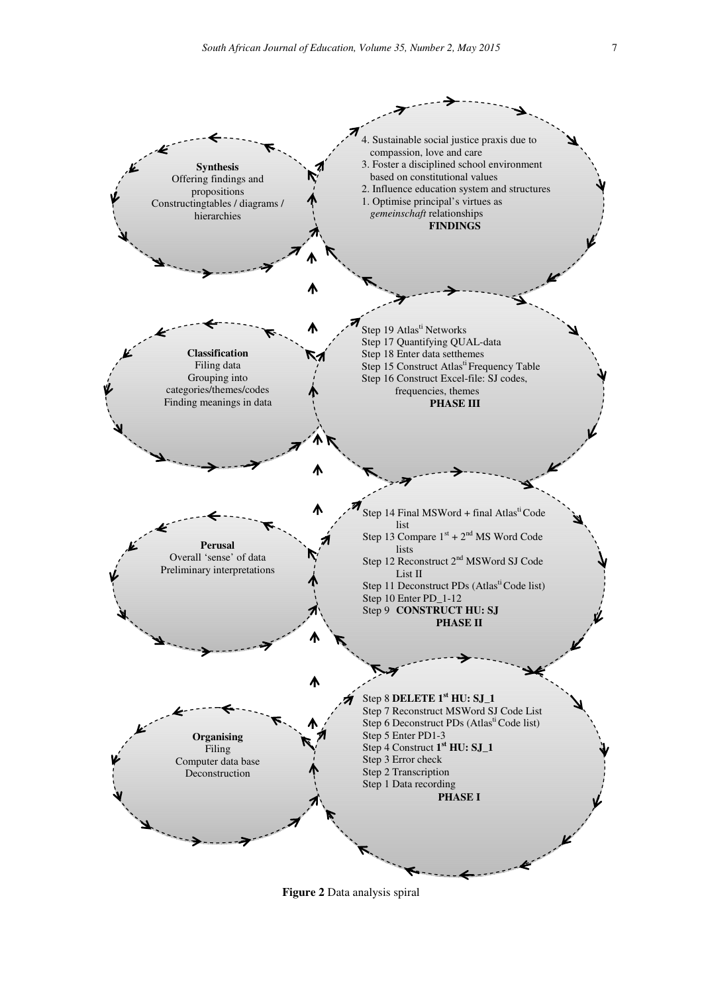

**Figure 2** Data analysis spiral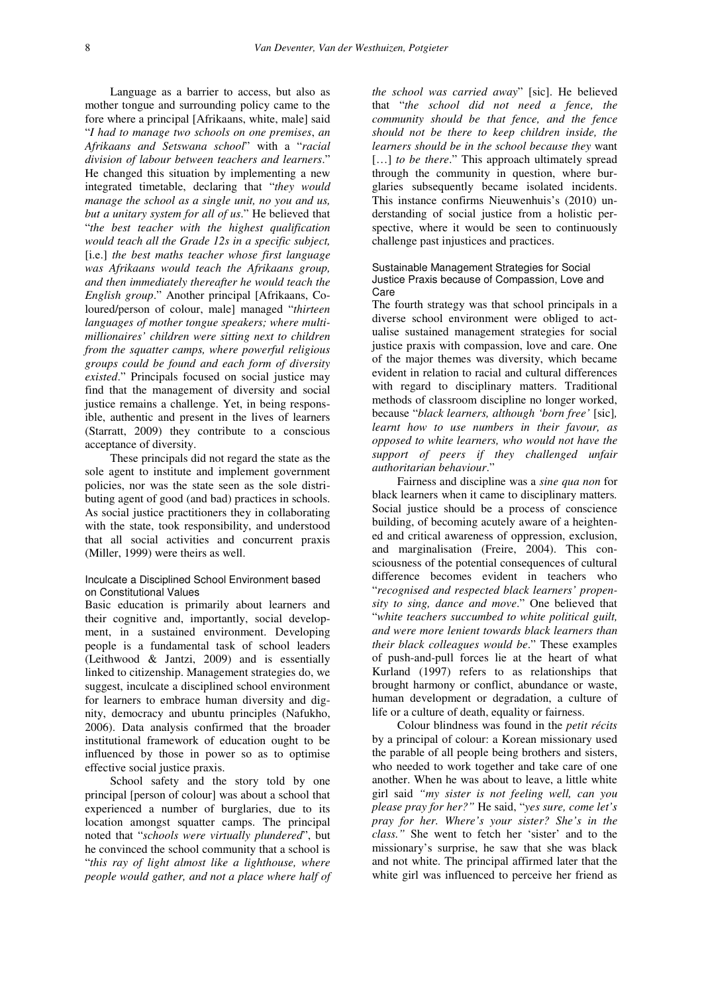Language as a barrier to access, but also as mother tongue and surrounding policy came to the fore where a principal [Afrikaans, white, male] said "*I had to manage two schools on one premises*, *an Afrikaans and Setswana school*" with a "*racial division of labour between teachers and learners*." He changed this situation by implementing a new integrated timetable, declaring that "*they would manage the school as a single unit, no you and us, but a unitary system for all of us*." He believed that "*the best teacher with the highest qualification would teach all the Grade 12s in a specific subject,*  [i.e.] *the best maths teacher whose first language was Afrikaans would teach the Afrikaans group, and then immediately thereafter he would teach the English group*." Another principal [Afrikaans, Coloured/person of colour, male] managed "*thirteen languages of mother tongue speakers; where multimillionaires' children were sitting next to children from the squatter camps, where powerful religious groups could be found and each form of diversity existed*." Principals focused on social justice may find that the management of diversity and social justice remains a challenge. Yet, in being responsible, authentic and present in the lives of learners (Starratt, 2009) they contribute to a conscious acceptance of diversity.

These principals did not regard the state as the sole agent to institute and implement government policies, nor was the state seen as the sole distributing agent of good (and bad) practices in schools. As social justice practitioners they in collaborating with the state, took responsibility, and understood that all social activities and concurrent praxis (Miller, 1999) were theirs as well.

## Inculcate a Disciplined School Environment based on Constitutional Values

Basic education is primarily about learners and their cognitive and, importantly, social development, in a sustained environment. Developing people is a fundamental task of school leaders (Leithwood & Jantzi, 2009) and is essentially linked to citizenship. Management strategies do, we suggest, inculcate a disciplined school environment for learners to embrace human diversity and dignity, democracy and ubuntu principles (Nafukho, 2006). Data analysis confirmed that the broader institutional framework of education ought to be influenced by those in power so as to optimise effective social justice praxis.

School safety and the story told by one principal [person of colour] was about a school that experienced a number of burglaries, due to its location amongst squatter camps. The principal noted that "*schools were virtually plundered*", but he convinced the school community that a school is "*this ray of light almost like a lighthouse, where people would gather, and not a place where half of* 

*the school was carried away*" [sic]. He believed that "*the school did not need a fence, the community should be that fence, and the fence should not be there to keep children inside, the learners should be in the school because they* want [...] to be there." This approach ultimately spread through the community in question, where burglaries subsequently became isolated incidents. This instance confirms Nieuwenhuis's (2010) understanding of social justice from a holistic perspective, where it would be seen to continuously challenge past injustices and practices.

### Sustainable Management Strategies for Social Justice Praxis because of Compassion, Love and Care

The fourth strategy was that school principals in a diverse school environment were obliged to actualise sustained management strategies for social justice praxis with compassion, love and care. One of the major themes was diversity, which became evident in relation to racial and cultural differences with regard to disciplinary matters. Traditional methods of classroom discipline no longer worked, because "*black learners, although 'born free'* [sic]*, learnt how to use numbers in their favour, as opposed to white learners, who would not have the support of peers if they challenged unfair authoritarian behaviour*."

Fairness and discipline was a *sine qua non* for black learners when it came to disciplinary matters*.*  Social justice should be a process of conscience building, of becoming acutely aware of a heightened and critical awareness of oppression, exclusion, and marginalisation (Freire, 2004). This consciousness of the potential consequences of cultural difference becomes evident in teachers who "*recognised and respected black learners' propensity to sing, dance and move*." One believed that "*white teachers succumbed to white political guilt, and were more lenient towards black learners than their black colleagues would be*." These examples of push-and-pull forces lie at the heart of what Kurland (1997) refers to as relationships that brought harmony or conflict, abundance or waste, human development or degradation, a culture of life or a culture of death, equality or fairness.

Colour blindness was found in the *petit récits* by a principal of colour: a Korean missionary used the parable of all people being brothers and sisters, who needed to work together and take care of one another. When he was about to leave, a little white girl said *"my sister is not feeling well, can you please pray for her?"* He said, "*yes sure, come let's pray for her. Where's your sister? She's in the class."* She went to fetch her 'sister' and to the missionary's surprise, he saw that she was black and not white. The principal affirmed later that the white girl was influenced to perceive her friend as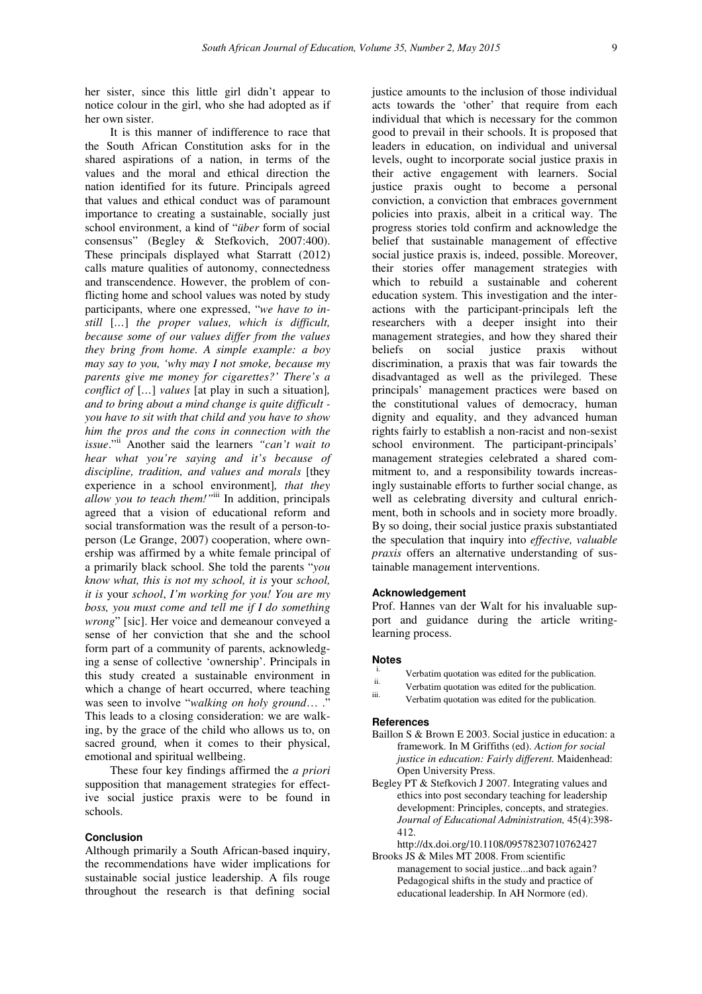her sister, since this little girl didn't appear to notice colour in the girl, who she had adopted as if her own sister.

It is this manner of indifference to race that the South African Constitution asks for in the shared aspirations of a nation, in terms of the values and the moral and ethical direction the nation identified for its future. Principals agreed that values and ethical conduct was of paramount importance to creating a sustainable, socially just school environment, a kind of "*über* form of social consensus" (Begley & Stefkovich, 2007:400). These principals displayed what Starratt (2012) calls mature qualities of autonomy, connectedness and transcendence. However, the problem of conflicting home and school values was noted by study participants, where one expressed, "*we have to instill* [*…*] *the proper values, which is difficult, because some of our values differ from the values they bring from home. A simple example: a boy may say to you, 'why may I not smoke, because my parents give me money for cigarettes?' There's a conflict of* [*…*] *values* [at play in such a situation]*, and to bring about a mind change is quite difficult you have to sit with that child and you have to show him the pros and the cons in connection with the issue*."ii Another said the learners *"can't wait to hear what you're saying and it's because of discipline, tradition, and values and morals* [they experience in a school environment]*, that they allow you to teach them!"*iii In addition, principals agreed that a vision of educational reform and social transformation was the result of a person-toperson (Le Grange, 2007) cooperation, where ownership was affirmed by a white female principal of a primarily black school. She told the parents "*you know what, this is not my school, it is* your *school, it is* your *school*, *I'm working for you! You are my boss, you must come and tell me if I do something wrong*" [sic]. Her voice and demeanour conveyed a sense of her conviction that she and the school form part of a community of parents, acknowledging a sense of collective 'ownership'. Principals in this study created a sustainable environment in which a change of heart occurred, where teaching was seen to involve "*walking on holy ground*...." This leads to a closing consideration: we are walking, by the grace of the child who allows us to, on sacred ground*,* when it comes to their physical, emotional and spiritual wellbeing.

These four key findings affirmed the *a priori* supposition that management strategies for effective social justice praxis were to be found in schools.

## **Conclusion**

Although primarily a South African-based inquiry, the recommendations have wider implications for sustainable social justice leadership. A fils rouge throughout the research is that defining social justice amounts to the inclusion of those individual acts towards the 'other' that require from each individual that which is necessary for the common good to prevail in their schools. It is proposed that leaders in education, on individual and universal levels, ought to incorporate social justice praxis in their active engagement with learners. Social justice praxis ought to become a personal conviction, a conviction that embraces government policies into praxis, albeit in a critical way. The progress stories told confirm and acknowledge the belief that sustainable management of effective social justice praxis is, indeed, possible. Moreover, their stories offer management strategies with which to rebuild a sustainable and coherent education system. This investigation and the interactions with the participant-principals left the researchers with a deeper insight into their management strategies, and how they shared their beliefs on social justice praxis without discrimination, a praxis that was fair towards the disadvantaged as well as the privileged. These principals' management practices were based on the constitutional values of democracy, human dignity and equality, and they advanced human rights fairly to establish a non-racist and non-sexist school environment. The participant-principals' management strategies celebrated a shared commitment to, and a responsibility towards increasingly sustainable efforts to further social change, as well as celebrating diversity and cultural enrichment, both in schools and in society more broadly. By so doing, their social justice praxis substantiated the speculation that inquiry into *effective, valuable praxis* offers an alternative understanding of sustainable management interventions.

### **Acknowledgement**

Prof. Hannes van der Walt for his invaluable support and guidance during the article writinglearning process.

### **Notes**

- <sup>1</sup> Verbatim quotation was edited for the publication.
- $\frac{11}{111}$  Verbatim quotation was edited for the publication.
	- Verbatim quotation was edited for the publication.

#### **References**

- Baillon S & Brown E 2003. Social justice in education: a framework. In M Griffiths (ed). *Action for social justice in education: Fairly different.* Maidenhead: Open University Press.
- Begley PT & Stefkovich J 2007. Integrating values and ethics into post secondary teaching for leadership development: Principles, concepts, and strategies. *Journal of Educational Administration,* 45(4):398- 412.

http://dx.doi.org/10.1108/09578230710762427

Brooks JS & Miles MT 2008. From scientific management to social justice...and back again? Pedagogical shifts in the study and practice of educational leadership. In AH Normore (ed).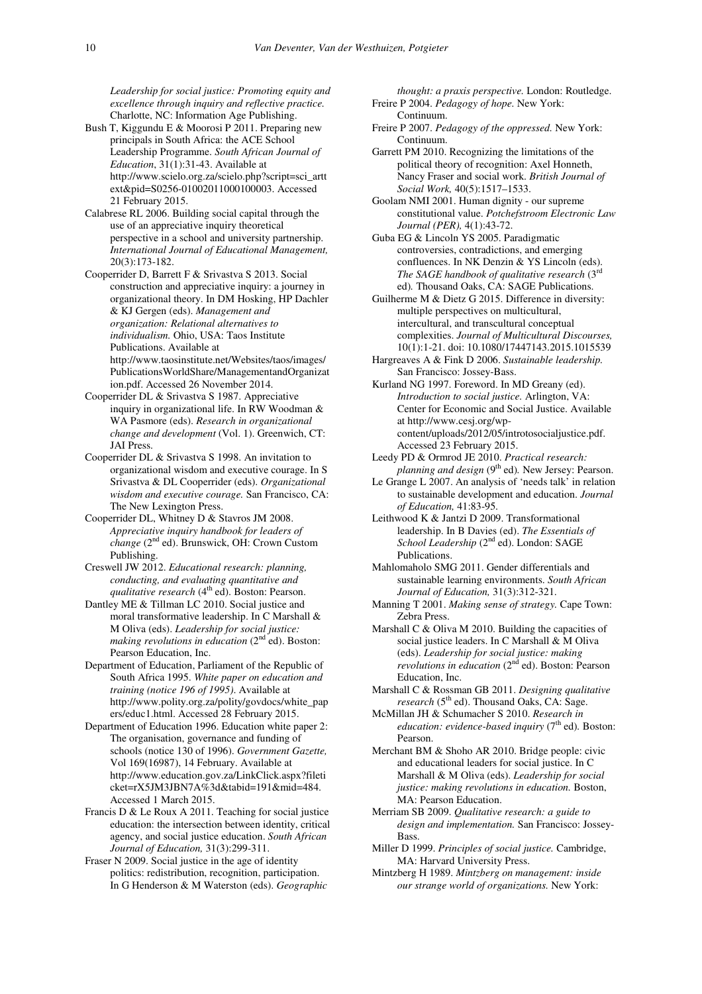*Leadership for social justice: Promoting equity and excellence through inquiry and reflective practice.* Charlotte, NC: Information Age Publishing.

Bush T, Kiggundu E & Moorosi P 2011. Preparing new principals in South Africa: the ACE School Leadership Programme. *South African Journal of Education*, 31(1):31-43. Available at http://www.scielo.org.za/scielo.php?script=sci\_artt ext&pid=S0256-01002011000100003. Accessed 21 February 2015.

Calabrese RL 2006. Building social capital through the use of an appreciative inquiry theoretical perspective in a school and university partnership. *International Journal of Educational Management,*  20(3):173-182.

Cooperrider D, Barrett F & Srivastva S 2013. Social construction and appreciative inquiry: a journey in organizational theory. In DM Hosking, HP Dachler & KJ Gergen (eds). *Management and organization: Relational alternatives to individualism.* Ohio, USA: Taos Institute Publications. Available at http://www.taosinstitute.net/Websites/taos/images/ PublicationsWorldShare/ManagementandOrganizat ion.pdf. Accessed 26 November 2014.

Cooperrider DL & Srivastva S 1987. Appreciative inquiry in organizational life. In RW Woodman & WA Pasmore (eds). *Research in organizational change and development* (Vol. 1). Greenwich, CT: JAI Press.

Cooperrider DL & Srivastva S 1998. An invitation to organizational wisdom and executive courage. In S Srivastva & DL Cooperrider (eds). *Organizational wisdom and executive courage.* San Francisco, CA: The New Lexington Press.

Cooperrider DL, Whitney D & Stavros JM 2008. *Appreciative inquiry handbook for leaders of change* (2nd ed). Brunswick, OH: Crown Custom Publishing.

Creswell JW 2012. *Educational research: planning, conducting, and evaluating quantitative and qualitative research* (4<sup>th</sup> ed). Boston: Pearson.

Dantley ME & Tillman LC 2010. Social justice and moral transformative leadership. In C Marshall & M Oliva (eds). *Leadership for social justice: making revolutions in education* (2<sup>nd</sup> ed). Boston: Pearson Education, Inc.

Department of Education, Parliament of the Republic of South Africa 1995. *White paper on education and training (notice 196 of 1995)*. Available at http://www.polity.org.za/polity/govdocs/white\_pap ers/educ1.html. Accessed 28 February 2015.

Department of Education 1996. Education white paper 2: The organisation, governance and funding of schools (notice 130 of 1996). *Government Gazette,* Vol 169(16987), 14 February. Available at http://www.education.gov.za/LinkClick.aspx?fileti cket=rX5JM3JBN7A%3d&tabid=191&mid=484. Accessed 1 March 2015.

Francis D & Le Roux A 2011. Teaching for social justice education: the intersection between identity, critical agency, and social justice education. *South African Journal of Education,* 31(3):299-311.

Fraser N 2009. Social justice in the age of identity politics: redistribution, recognition, participation. In G Henderson & M Waterston (eds). *Geographic* 

*thought: a praxis perspective.* London: Routledge. Freire P 2004. *Pedagogy of hope.* New York:

Continuum.

Freire P 2007. *Pedagogy of the oppressed.* New York: Continuum.

Garrett PM 2010. Recognizing the limitations of the political theory of recognition: Axel Honneth, Nancy Fraser and social work. *British Journal of Social Work,* 40(5):1517–1533.

Goolam NMI 2001. Human dignity - our supreme constitutional value. *Potchefstroom Electronic Law Journal (PER),* 4(1):43-72.

Guba EG & Lincoln YS 2005. Paradigmatic controversies, contradictions, and emerging confluences. In NK Denzin & YS Lincoln (eds). *The SAGE handbook of qualitative research* (3rd ed)*.* Thousand Oaks, CA: SAGE Publications.

Guilherme M & Dietz G 2015. Difference in diversity: multiple perspectives on multicultural, intercultural, and transcultural conceptual complexities. *Journal of Multicultural Discourses,*  10(1):1-21. doi: 10.1080/17447143.2015.1015539

Hargreaves A & Fink D 2006. *Sustainable leadership.*  San Francisco: Jossey-Bass.

Kurland NG 1997. Foreword. In MD Greany (ed). *Introduction to social justice.* Arlington, VA: Center for Economic and Social Justice. Available at http://www.cesj.org/wpcontent/uploads/2012/05/introtosocialjustice.pdf. Accessed 23 February 2015.

Leedy PD & Ormrod JE 2010. *Practical research: planning and design* (9<sup>th</sup> ed). New Jersey: Pearson.

Le Grange L 2007. An analysis of 'needs talk' in relation to sustainable development and education. *Journal of Education,* 41:83-95.

Leithwood K & Jantzi D 2009. Transformational leadership. In B Davies (ed). *The Essentials of School Leadership* (2nd ed). London: SAGE Publications.

Mahlomaholo SMG 2011. Gender differentials and sustainable learning environments. *South African Journal of Education,* 31(3):312-321.

Manning T 2001. *Making sense of strategy.* Cape Town: Zebra Press.

- Marshall C & Oliva M 2010. Building the capacities of social justice leaders. In C Marshall & M Oliva (eds). *Leadership for social justice: making revolutions in education* (2nd ed). Boston: Pearson Education, Inc.
- Marshall C & Rossman GB 2011. *Designing qualitative research* (5<sup>th</sup> ed). Thousand Oaks, CA: Sage.

McMillan JH & Schumacher S 2010. *Research in education: evidence-based inquiry* (7<sup>th</sup> ed). Boston: Pearson.

Merchant BM & Shoho AR 2010. Bridge people: civic and educational leaders for social justice. In C Marshall & M Oliva (eds). *Leadership for social justice: making revolutions in education.* Boston, MA: Pearson Education.

Merriam SB 2009. *Qualitative research: a guide to design and implementation.* San Francisco: Jossey-Bass.

Miller D 1999. *Principles of social justice.* Cambridge, MA: Harvard University Press.

Mintzberg H 1989. *Mintzberg on management: inside our strange world of organizations.* New York: